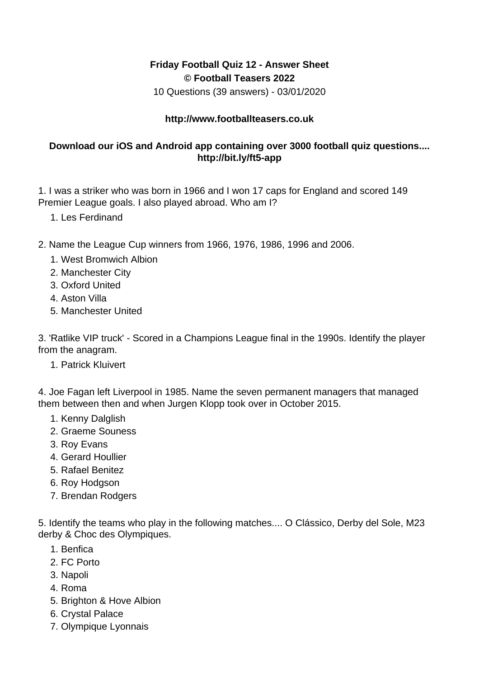## **Friday Football Quiz 12 - Answer Sheet © Football Teasers 2022**

10 Questions (39 answers) - 03/01/2020

## **http://www.footballteasers.co.uk**

## **Download our iOS and Android app containing over 3000 football quiz questions.... http://bit.ly/ft5-app**

1. I was a striker who was born in 1966 and I won 17 caps for England and scored 149 Premier League goals. I also played abroad. Who am I?

- 1. Les Ferdinand
- 2. Name the League Cup winners from 1966, 1976, 1986, 1996 and 2006.
	- 1. West Bromwich Albion
	- 2. Manchester City
	- 3. Oxford United
	- 4. Aston Villa
	- 5. Manchester United

3. 'Ratlike VIP truck' - Scored in a Champions League final in the 1990s. Identify the player from the anagram.

1. Patrick Kluivert

4. Joe Fagan left Liverpool in 1985. Name the seven permanent managers that managed them between then and when Jurgen Klopp took over in October 2015.

- 1. Kenny Dalglish
- 2. Graeme Souness
- 3. Roy Evans
- 4. Gerard Houllier
- 5. Rafael Benitez
- 6. Roy Hodgson
- 7. Brendan Rodgers

5. Identify the teams who play in the following matches.... O Clássico, Derby del Sole, M23 derby & Choc des Olympiques.

- 1. Benfica
- 2. FC Porto
- 3. Napoli
- 4. Roma
- 5. Brighton & Hove Albion
- 6. Crystal Palace
- 7. Olympique Lyonnais